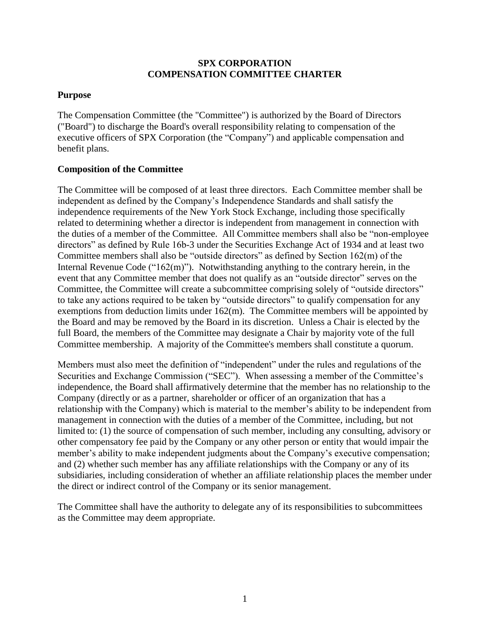## **SPX CORPORATION COMPENSATION COMMITTEE CHARTER**

## **Purpose**

The Compensation Committee (the "Committee") is authorized by the Board of Directors ("Board") to discharge the Board's overall responsibility relating to compensation of the executive officers of SPX Corporation (the "Company") and applicable compensation and benefit plans.

## **Composition of the Committee**

The Committee will be composed of at least three directors. Each Committee member shall be independent as defined by the Company's Independence Standards and shall satisfy the independence requirements of the New York Stock Exchange, including those specifically related to determining whether a director is independent from management in connection with the duties of a member of the Committee. All Committee members shall also be "non-employee directors" as defined by Rule 16b-3 under the Securities Exchange Act of 1934 and at least two Committee members shall also be "outside directors" as defined by Section 162(m) of the Internal Revenue Code (" $162(m)$ "). Notwithstanding anything to the contrary herein, in the event that any Committee member that does not qualify as an "outside director" serves on the Committee, the Committee will create a subcommittee comprising solely of "outside directors" to take any actions required to be taken by "outside directors" to qualify compensation for any exemptions from deduction limits under 162(m). The Committee members will be appointed by the Board and may be removed by the Board in its discretion. Unless a Chair is elected by the full Board, the members of the Committee may designate a Chair by majority vote of the full Committee membership. A majority of the Committee's members shall constitute a quorum.

Members must also meet the definition of "independent" under the rules and regulations of the Securities and Exchange Commission ("SEC"). When assessing a member of the Committee's independence, the Board shall affirmatively determine that the member has no relationship to the Company (directly or as a partner, shareholder or officer of an organization that has a relationship with the Company) which is material to the member's ability to be independent from management in connection with the duties of a member of the Committee, including, but not limited to: (1) the source of compensation of such member, including any consulting, advisory or other compensatory fee paid by the Company or any other person or entity that would impair the member's ability to make independent judgments about the Company's executive compensation; and (2) whether such member has any affiliate relationships with the Company or any of its subsidiaries, including consideration of whether an affiliate relationship places the member under the direct or indirect control of the Company or its senior management.

The Committee shall have the authority to delegate any of its responsibilities to subcommittees as the Committee may deem appropriate.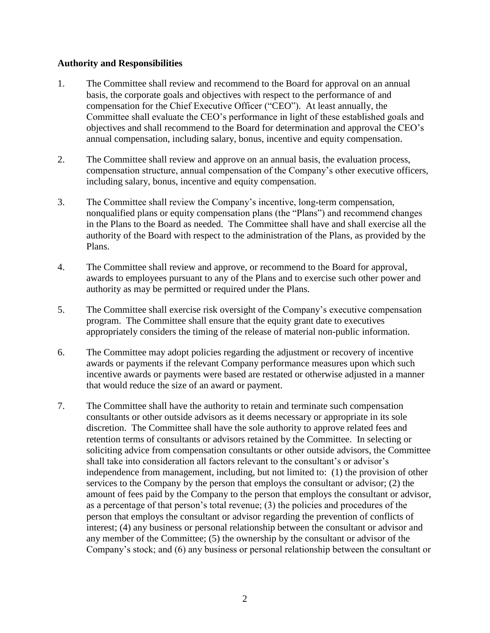## **Authority and Responsibilities**

- 1. The Committee shall review and recommend to the Board for approval on an annual basis, the corporate goals and objectives with respect to the performance of and compensation for the Chief Executive Officer ("CEO"). At least annually, the Committee shall evaluate the CEO's performance in light of these established goals and objectives and shall recommend to the Board for determination and approval the CEO's annual compensation, including salary, bonus, incentive and equity compensation.
- 2. The Committee shall review and approve on an annual basis, the evaluation process, compensation structure, annual compensation of the Company's other executive officers, including salary, bonus, incentive and equity compensation.
- 3. The Committee shall review the Company's incentive, long-term compensation, nonqualified plans or equity compensation plans (the "Plans") and recommend changes in the Plans to the Board as needed. The Committee shall have and shall exercise all the authority of the Board with respect to the administration of the Plans, as provided by the Plans.
- 4. The Committee shall review and approve, or recommend to the Board for approval, awards to employees pursuant to any of the Plans and to exercise such other power and authority as may be permitted or required under the Plans.
- 5. The Committee shall exercise risk oversight of the Company's executive compensation program. The Committee shall ensure that the equity grant date to executives appropriately considers the timing of the release of material non-public information.
- 6. The Committee may adopt policies regarding the adjustment or recovery of incentive awards or payments if the relevant Company performance measures upon which such incentive awards or payments were based are restated or otherwise adjusted in a manner that would reduce the size of an award or payment.
- 7. The Committee shall have the authority to retain and terminate such compensation consultants or other outside advisors as it deems necessary or appropriate in its sole discretion. The Committee shall have the sole authority to approve related fees and retention terms of consultants or advisors retained by the Committee. In selecting or soliciting advice from compensation consultants or other outside advisors, the Committee shall take into consideration all factors relevant to the consultant's or advisor's independence from management, including, but not limited to: (1) the provision of other services to the Company by the person that employs the consultant or advisor; (2) the amount of fees paid by the Company to the person that employs the consultant or advisor, as a percentage of that person's total revenue; (3) the policies and procedures of the person that employs the consultant or advisor regarding the prevention of conflicts of interest; (4) any business or personal relationship between the consultant or advisor and any member of the Committee; (5) the ownership by the consultant or advisor of the Company's stock; and (6) any business or personal relationship between the consultant or